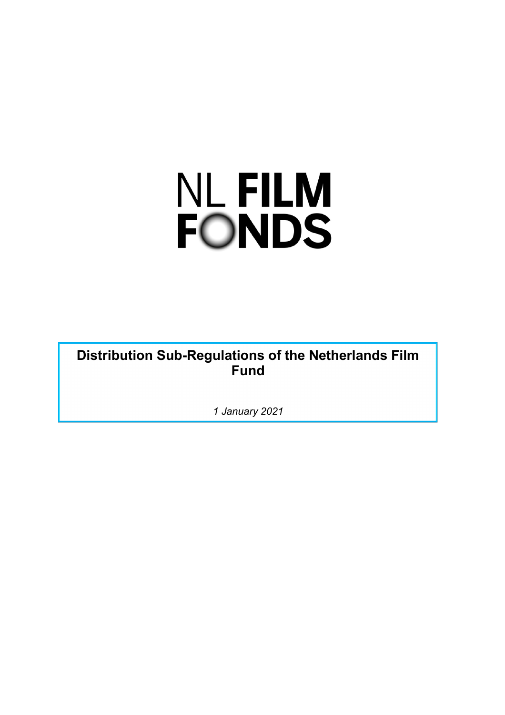# **NL FILM FONDS**

**Distribution Sub-Regulations of the Netherlands Film Fund**

*1 January 2021*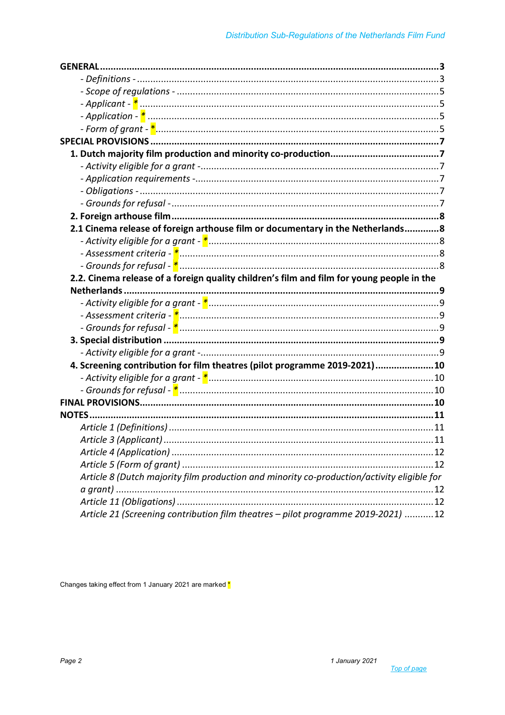| 2.1 Cinema release of foreign arthouse film or documentary in the Netherlands 8            |  |
|--------------------------------------------------------------------------------------------|--|
|                                                                                            |  |
|                                                                                            |  |
|                                                                                            |  |
| 2.2. Cinema release of a foreign quality children's film and film for young people in the  |  |
|                                                                                            |  |
|                                                                                            |  |
|                                                                                            |  |
|                                                                                            |  |
|                                                                                            |  |
|                                                                                            |  |
| 4. Screening contribution for film theatres (pilot programme 2019-2021)10                  |  |
|                                                                                            |  |
|                                                                                            |  |
|                                                                                            |  |
|                                                                                            |  |
|                                                                                            |  |
|                                                                                            |  |
|                                                                                            |  |
|                                                                                            |  |
| Article 8 (Dutch majority film production and minority co-production/activity eligible for |  |
|                                                                                            |  |
|                                                                                            |  |
| Article 21 (Screening contribution film theatres - pilot programme 2019-2021) 12           |  |

Changes taking effect from 1 January 2021 are marked \*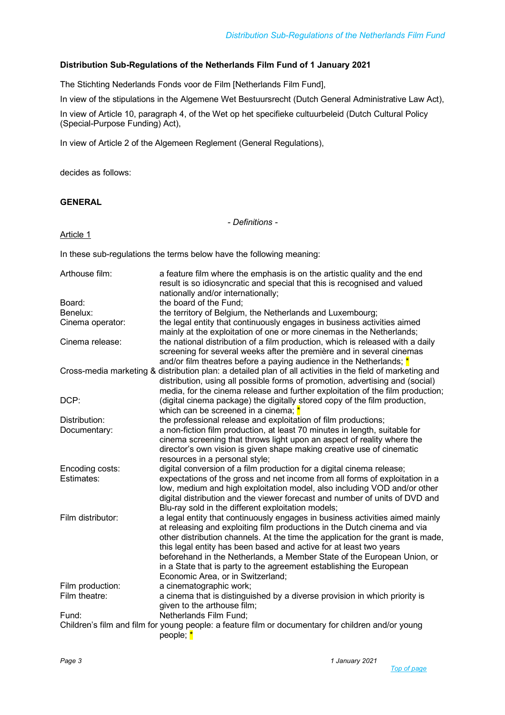# **Distribution Sub-Regulations of the Netherlands Film Fund of 1 January 2021**

The Stichting Nederlands Fonds voor de Film [Netherlands Film Fund],

In view of the stipulations in the Algemene Wet Bestuursrecht (Dutch General Administrative Law Act),

In view of Article 10, paragraph 4, of the Wet op het specifieke cultuurbeleid (Dutch Cultural Policy (Special-Purpose Funding) Act),

In view of Article 2 of the Algemeen Reglement (General Regulations),

decides as follows:

# **GENERAL**

*- Definitions -*

Article 1

In these sub-regulations the terms below have the following meaning:

| Arthouse film:    | a feature film where the emphasis is on the artistic quality and the end<br>result is so idiosyncratic and special that this is recognised and valued<br>nationally and/or internationally;                                                                                                                                                                                                                                                                                                              |
|-------------------|----------------------------------------------------------------------------------------------------------------------------------------------------------------------------------------------------------------------------------------------------------------------------------------------------------------------------------------------------------------------------------------------------------------------------------------------------------------------------------------------------------|
| Board:            | the board of the Fund;                                                                                                                                                                                                                                                                                                                                                                                                                                                                                   |
| Benelux:          | the territory of Belgium, the Netherlands and Luxembourg;                                                                                                                                                                                                                                                                                                                                                                                                                                                |
| Cinema operator:  | the legal entity that continuously engages in business activities aimed<br>mainly at the exploitation of one or more cinemas in the Netherlands;                                                                                                                                                                                                                                                                                                                                                         |
| Cinema release:   | the national distribution of a film production, which is released with a daily<br>screening for several weeks after the première and in several cinemas<br>and/or film theatres before a paying audience in the Netherlands; $*$                                                                                                                                                                                                                                                                         |
|                   | Cross-media marketing & distribution plan: a detailed plan of all activities in the field of marketing and<br>distribution, using all possible forms of promotion, advertising and (social)<br>media, for the cinema release and further exploitation of the film production;                                                                                                                                                                                                                            |
| DCP:              | (digital cinema package) the digitally stored copy of the film production,<br>which can be screened in a cinema; *                                                                                                                                                                                                                                                                                                                                                                                       |
| Distribution:     | the professional release and exploitation of film productions;                                                                                                                                                                                                                                                                                                                                                                                                                                           |
| Documentary:      | a non-fiction film production, at least 70 minutes in length, suitable for<br>cinema screening that throws light upon an aspect of reality where the<br>director's own vision is given shape making creative use of cinematic<br>resources in a personal style;                                                                                                                                                                                                                                          |
| Encoding costs:   | digital conversion of a film production for a digital cinema release;                                                                                                                                                                                                                                                                                                                                                                                                                                    |
| Estimates:        | expectations of the gross and net income from all forms of exploitation in a<br>low, medium and high exploitation model, also including VOD and/or other<br>digital distribution and the viewer forecast and number of units of DVD and<br>Blu-ray sold in the different exploitation models;                                                                                                                                                                                                            |
| Film distributor: | a legal entity that continuously engages in business activities aimed mainly<br>at releasing and exploiting film productions in the Dutch cinema and via<br>other distribution channels. At the time the application for the grant is made,<br>this legal entity has been based and active for at least two years<br>beforehand in the Netherlands, a Member State of the European Union, or<br>in a State that is party to the agreement establishing the European<br>Economic Area, or in Switzerland; |
| Film production:  | a cinematographic work;                                                                                                                                                                                                                                                                                                                                                                                                                                                                                  |
| Film theatre:     | a cinema that is distinguished by a diverse provision in which priority is<br>given to the arthouse film;                                                                                                                                                                                                                                                                                                                                                                                                |
| Fund:             | Netherlands Film Fund;                                                                                                                                                                                                                                                                                                                                                                                                                                                                                   |
|                   | Children's film and film for young people: a feature film or documentary for children and/or young<br>people; *                                                                                                                                                                                                                                                                                                                                                                                          |

*Top of page*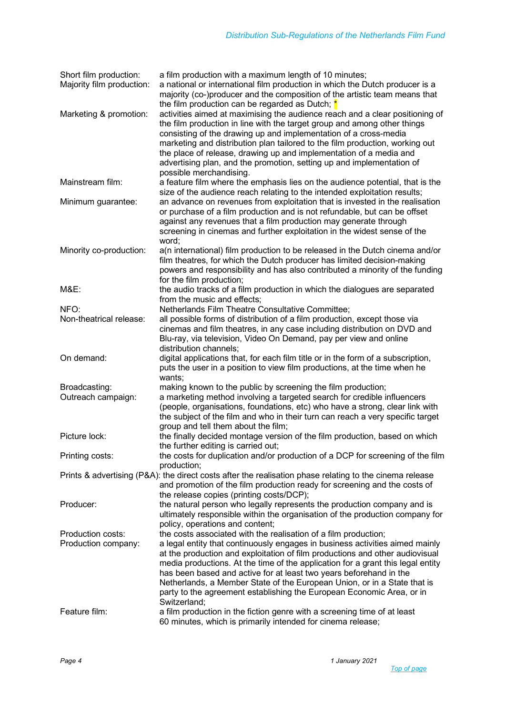| Short film production:<br>Majority film production: | a film production with a maximum length of 10 minutes;<br>a national or international film production in which the Dutch producer is a<br>majority (co-)producer and the composition of the artistic team means that<br>the film production can be regarded as Dutch; *                                                                                                                                                                                                                                                                                       |
|-----------------------------------------------------|---------------------------------------------------------------------------------------------------------------------------------------------------------------------------------------------------------------------------------------------------------------------------------------------------------------------------------------------------------------------------------------------------------------------------------------------------------------------------------------------------------------------------------------------------------------|
| Marketing & promotion:                              | activities aimed at maximising the audience reach and a clear positioning of<br>the film production in line with the target group and among other things<br>consisting of the drawing up and implementation of a cross-media<br>marketing and distribution plan tailored to the film production, working out<br>the place of release, drawing up and implementation of a media and<br>advertising plan, and the promotion, setting up and implementation of<br>possible merchandising.                                                                        |
| Mainstream film:                                    | a feature film where the emphasis lies on the audience potential, that is the<br>size of the audience reach relating to the intended exploitation results;                                                                                                                                                                                                                                                                                                                                                                                                    |
| Minimum guarantee:                                  | an advance on revenues from exploitation that is invested in the realisation<br>or purchase of a film production and is not refundable, but can be offset<br>against any revenues that a film production may generate through<br>screening in cinemas and further exploitation in the widest sense of the<br>word;                                                                                                                                                                                                                                            |
| Minority co-production:                             | a(n international) film production to be released in the Dutch cinema and/or<br>film theatres, for which the Dutch producer has limited decision-making<br>powers and responsibility and has also contributed a minority of the funding<br>for the film production;                                                                                                                                                                                                                                                                                           |
| <b>M&amp;E:</b>                                     | the audio tracks of a film production in which the dialogues are separated<br>from the music and effects;                                                                                                                                                                                                                                                                                                                                                                                                                                                     |
| NFO:                                                | Netherlands Film Theatre Consultative Committee;                                                                                                                                                                                                                                                                                                                                                                                                                                                                                                              |
| Non-theatrical release:                             | all possible forms of distribution of a film production, except those via<br>cinemas and film theatres, in any case including distribution on DVD and<br>Blu-ray, via television, Video On Demand, pay per view and online<br>distribution channels;                                                                                                                                                                                                                                                                                                          |
| On demand:                                          | digital applications that, for each film title or in the form of a subscription,<br>puts the user in a position to view film productions, at the time when he<br>wants;                                                                                                                                                                                                                                                                                                                                                                                       |
| Broadcasting:<br>Outreach campaign:                 | making known to the public by screening the film production;<br>a marketing method involving a targeted search for credible influencers<br>(people, organisations, foundations, etc) who have a strong, clear link with<br>the subject of the film and who in their turn can reach a very specific target<br>group and tell them about the film;                                                                                                                                                                                                              |
| Picture lock:                                       | the finally decided montage version of the film production, based on which<br>the further editing is carried out;                                                                                                                                                                                                                                                                                                                                                                                                                                             |
| Printing costs:                                     | the costs for duplication and/or production of a DCP for screening of the film<br>production;                                                                                                                                                                                                                                                                                                                                                                                                                                                                 |
|                                                     | Prints & advertising (P&A): the direct costs after the realisation phase relating to the cinema release<br>and promotion of the film production ready for screening and the costs of<br>the release copies (printing costs/DCP);                                                                                                                                                                                                                                                                                                                              |
| Producer:                                           | the natural person who legally represents the production company and is<br>ultimately responsible within the organisation of the production company for<br>policy, operations and content;                                                                                                                                                                                                                                                                                                                                                                    |
| Production costs:<br>Production company:            | the costs associated with the realisation of a film production;<br>a legal entity that continuously engages in business activities aimed mainly<br>at the production and exploitation of film productions and other audiovisual<br>media productions. At the time of the application for a grant this legal entity<br>has been based and active for at least two years beforehand in the<br>Netherlands, a Member State of the European Union, or in a State that is<br>party to the agreement establishing the European Economic Area, or in<br>Switzerland; |
| Feature film:                                       | a film production in the fiction genre with a screening time of at least<br>60 minutes, which is primarily intended for cinema release;                                                                                                                                                                                                                                                                                                                                                                                                                       |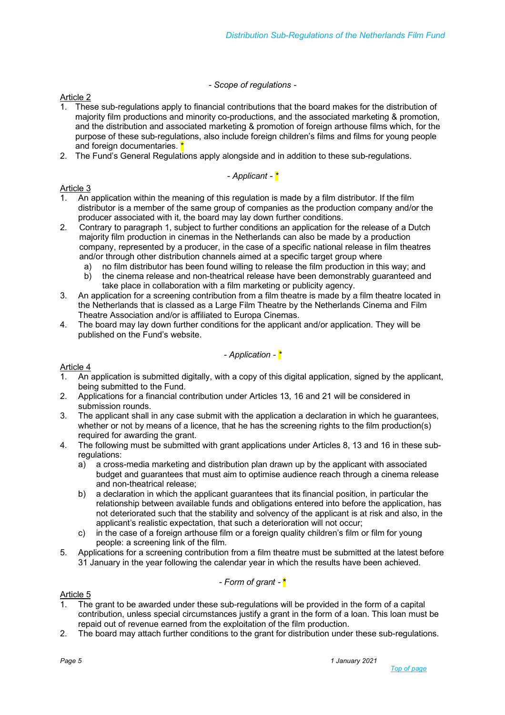# *- Scope of regulations -*

# Article 2

- 1. These sub-regulations apply to financial contributions that the board makes for the distribution of majority film productions and minority co-productions, and the associated marketing & promotion, and the distribution and associated marketing & promotion of foreign arthouse films which, for the purpose of these sub-regulations, also include foreign children's films and films for young people and foreign documentaries. \*
- 2. The Fund's General Regulations apply alongside and in addition to these sub-regulations.

# *- Applicant - \**

# Article 3

- 1. An application within the meaning of this regulation is made by a film distributor. If the film distributor is a member of the same group of companies as the production company and/or the producer associated with it, the board may lay down further conditions.
- 2. Contrary to paragraph 1, subject to further conditions an application for the release of a Dutch majority film production in cinemas in the Netherlands can also be made by a production company, represented by a producer, in the case of a specific national release in film theatres and/or through other distribution channels aimed at a specific target group where
	- a) no film distributor has been found willing to release the film production in this way; and h) the cinema release and non-theatrical release have been demonstrably guaranteed and
	- b) the cinema release and non-theatrical release have been demonstrably guaranteed and take place in collaboration with a film marketing or publicity agency.
- 3. An application for a screening contribution from a film theatre is made by a film theatre located in the Netherlands that is classed as a Large Film Theatre by the Netherlands Cinema and Film Theatre Association and/or is affiliated to Europa Cinemas.
- 4. The board may lay down further conditions for the applicant and/or application. They will be published on the Fund's website.

# *- Application - \**

# Article 4

- 1. An application is submitted digitally, with a copy of this digital application, signed by the applicant, being submitted to the Fund.
- 2. Applications for a financial contribution under Articles 13, 16 and 21 will be considered in submission rounds.
- 3. The applicant shall in any case submit with the application a declaration in which he guarantees, whether or not by means of a licence, that he has the screening rights to the film production(s) required for awarding the grant.
- 4. The following must be submitted with grant applications under Articles 8, 13 and 16 in these subregulations:
	- a) a cross-media marketing and distribution plan drawn up by the applicant with associated budget and guarantees that must aim to optimise audience reach through a cinema release and non-theatrical release;
	- b) a declaration in which the applicant guarantees that its financial position, in particular the relationship between available funds and obligations entered into before the application, has not deteriorated such that the stability and solvency of the applicant is at risk and also, in the applicant's realistic expectation, that such a deterioration will not occur;
	- c) in the case of a foreign arthouse film or a foreign quality children's film or film for young people: a screening link of the film.
- 5. Applications for a screening contribution from a film theatre must be submitted at the latest before 31 January in the year following the calendar year in which the results have been achieved.

# *- Form of grant -* **\***

# Article 5

- 1. The grant to be awarded under these sub-regulations will be provided in the form of a capital contribution, unless special circumstances justify a grant in the form of a loan. This loan must be repaid out of revenue earned from the exploitation of the film production.
- 2. The board may attach further conditions to the grant for distribution under these sub-regulations.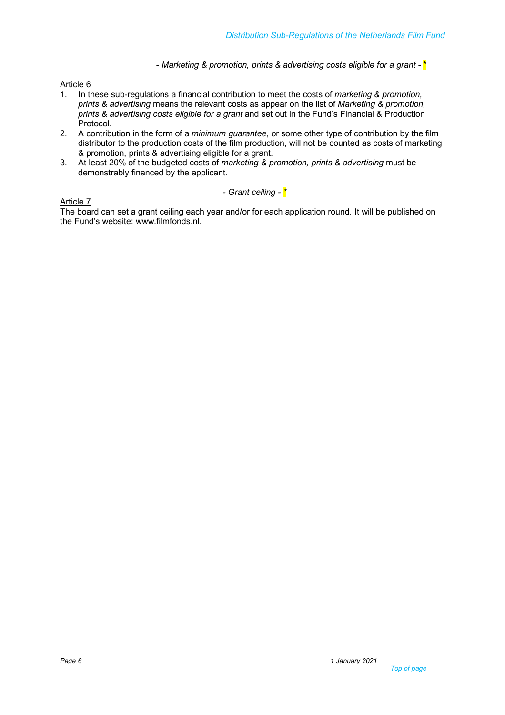- *Marketing & promotion, prints & advertising costs eligible for a grant* - \*

#### Article 6

- 1. In these sub-regulations a financial contribution to meet the costs of *marketing & promotion, prints & advertising* means the relevant costs as appear on the list of *Marketing & promotion, prints & advertising costs eligible for a grant* and set out in the Fund's Financial & Production Protocol.
- 2. A contribution in the form of a *minimum guarantee*, or some other type of contribution by the film distributor to the production costs of the film production, will not be counted as costs of marketing & promotion, prints & advertising eligible for a grant.
- 3. At least 20% of the budgeted costs of *marketing & promotion, prints & advertising* must be demonstrably financed by the applicant.

Article 7



The board can set a grant ceiling each year and/or for each application round. It will be published on the Fund's website: www.filmfonds.nl.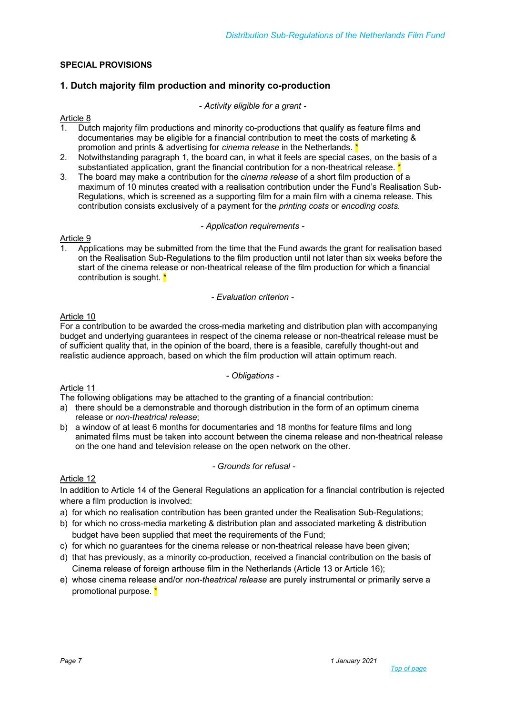# **SPECIAL PROVISIONS**

# **1. Dutch majority film production and minority co-production**

*- Activity eligible for a grant -*

# Article 8<br>1. Dut

- 1. Dutch majority film productions and minority co-productions that qualify as feature films and documentaries may be eligible for a financial contribution to meet the costs of marketing & promotion and prints & advertising for *cinema release* in the Netherlands.
- 2. Notwithstanding paragraph 1, the board can, in what it feels are special cases, on the basis of a substantiated application, grant the financial contribution for a non-theatrical release.  $\star$
- 3. The board may make a contribution for the *cinema release* of a short film production of a maximum of 10 minutes created with a realisation contribution under the Fund's Realisation Sub-Regulations, which is screened as a supporting film for a main film with a cinema release. This contribution consists exclusively of a payment for the *printing costs* or *encoding costs*.

#### *- Application requirements -*

#### Article 9

1. Applications may be submitted from the time that the Fund awards the grant for realisation based on the Realisation Sub-Regulations to the film production until not later than six weeks before the start of the cinema release or non-theatrical release of the film production for which a financial contribution is sought. \*

#### *- Evaluation criterion -*

# Article 10

For a contribution to be awarded the cross-media marketing and distribution plan with accompanying budget and underlying guarantees in respect of the cinema release or non-theatrical release must be of sufficient quality that, in the opinion of the board, there is a feasible, carefully thought-out and realistic audience approach, based on which the film production will attain optimum reach.

#### *- Obligations -*

# Article 11

The following obligations may be attached to the granting of a financial contribution:

- a) there should be a demonstrable and thorough distribution in the form of an optimum cinema release or *non-theatrical release*;
- b) a window of at least 6 months for documentaries and 18 months for feature films and long animated films must be taken into account between the cinema release and non-theatrical release on the one hand and television release on the open network on the other.

#### *- Grounds for refusal -*

# Article 12

In addition to Article 14 of the General Regulations an application for a financial contribution is rejected where a film production is involved:

- a) for which no realisation contribution has been granted under the Realisation Sub-Regulations;
- b) for which no cross-media marketing & distribution plan and associated marketing & distribution budget have been supplied that meet the requirements of the Fund;
- c) for which no guarantees for the cinema release or non-theatrical release have been given;
- d) that has previously, as a minority co-production, received a financial contribution on the basis of Cinema release of foreign arthouse film in the Netherlands (Article 13 or Article 16);
- e) whose cinema release and/or *non-theatrical release* are purely instrumental or primarily serve a promotional purpose. \*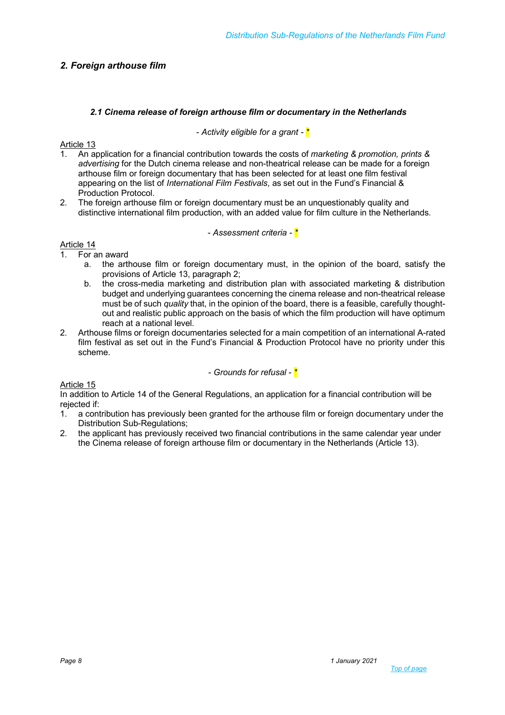# *2. Foreign arthouse film*

#### *2.1 Cinema release of foreign arthouse film or documentary in the Netherlands*

#### *- Activity eligible for a grant - \**

# Article 13

- 1. An application for a financial contribution towards the costs of *marketing & promotion, prints & advertising* for the Dutch cinema release and non-theatrical release can be made for a foreign arthouse film or foreign documentary that has been selected for at least one film festival appearing on the list of *International Film Festivals*, as set out in the Fund's Financial & Production Protocol.
- 2. The foreign arthouse film or foreign documentary must be an unquestionably quality and distinctive international film production, with an added value for film culture in the Netherlands.

#### *- Assessment criteria - \**

# Article 14

- 1. For an award
	- a. the arthouse film or foreign documentary must, in the opinion of the board, satisfy the provisions of Article 13, paragraph 2;
	- b. the cross-media marketing and distribution plan with associated marketing & distribution budget and underlying guarantees concerning the cinema release and non-theatrical release must be of such *quality* that, in the opinion of the board, there is a feasible, carefully thoughtout and realistic public approach on the basis of which the film production will have optimum reach at a national level.
- 2. Arthouse films or foreign documentaries selected for a main competition of an international A-rated film festival as set out in the Fund's Financial & Production Protocol have no priority under this scheme.

*- Grounds for refusal - \**

Article 15

In addition to Article 14 of the General Regulations, an application for a financial contribution will be rejected if:

- 1. a contribution has previously been granted for the arthouse film or foreign documentary under the Distribution Sub-Regulations;
- 2. the applicant has previously received two financial contributions in the same calendar year under the Cinema release of foreign arthouse film or documentary in the Netherlands (Article 13).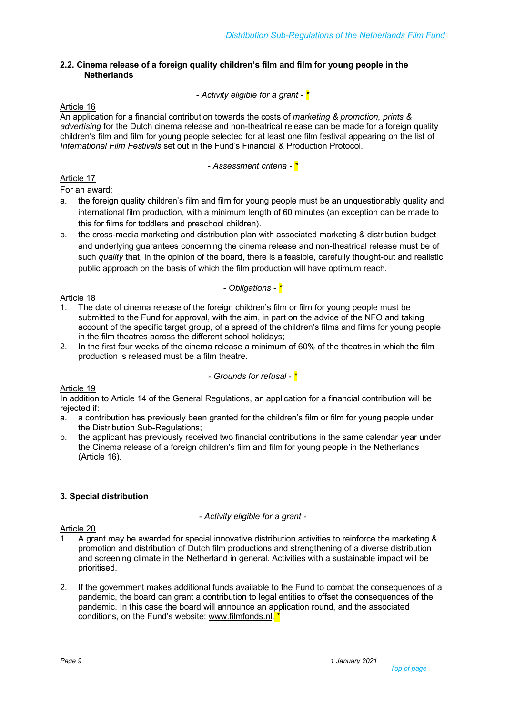#### **2.2. Cinema release of a foreign quality children's film and film for young people in the Netherlands**

# *- Activity eligible for a grant - \**

#### Article 16

An application for a financial contribution towards the costs of *marketing & promotion, prints & advertising* for the Dutch cinema release and non-theatrical release can be made for a foreign quality children's film and film for young people selected for at least one film festival appearing on the list of *International Film Festivals* set out in the Fund's Financial & Production Protocol.

*- Assessment criteria - \**

# Article 17

For an award:

- a. the foreign quality children's film and film for young people must be an unquestionably quality and international film production, with a minimum length of 60 minutes (an exception can be made to this for films for toddlers and preschool children).
- b. the cross-media marketing and distribution plan with associated marketing & distribution budget and underlying guarantees concerning the cinema release and non-theatrical release must be of such *quality* that, in the opinion of the board, there is a feasible, carefully thought-out and realistic public approach on the basis of which the film production will have optimum reach.

# *- Obligations - \**

# Article 18

- 1. The date of cinema release of the foreign children's film or film for young people must be submitted to the Fund for approval, with the aim, in part on the advice of the NFO and taking account of the specific target group, of a spread of the children's films and films for young people in the film theatres across the different school holidays;
- 2. In the first four weeks of the cinema release a minimum of 60% of the theatres in which the film production is released must be a film theatre.

#### *- Grounds for refusal - \**

# Article 19

In addition to Article 14 of the General Regulations, an application for a financial contribution will be rejected if:

- a. a contribution has previously been granted for the children's film or film for young people under the Distribution Sub-Regulations;
- b. the applicant has previously received two financial contributions in the same calendar year under the Cinema release of a foreign children's film and film for young people in the Netherlands (Article 16).

# **3. Special distribution**

# *- Activity eligible for a grant -*

# Article 20

- 1. A grant may be awarded for special innovative distribution activities to reinforce the marketing & promotion and distribution of Dutch film productions and strengthening of a diverse distribution and screening climate in the Netherland in general. Activities with a sustainable impact will be prioritised.
- 2. If the government makes additional funds available to the Fund to combat the consequences of a pandemic, the board can grant a contribution to legal entities to offset the consequences of the pandemic. In this case the board will announce an application round, and the associated conditions, on the Fund's website: www.filmfonds.nl.<sup>\*</sup>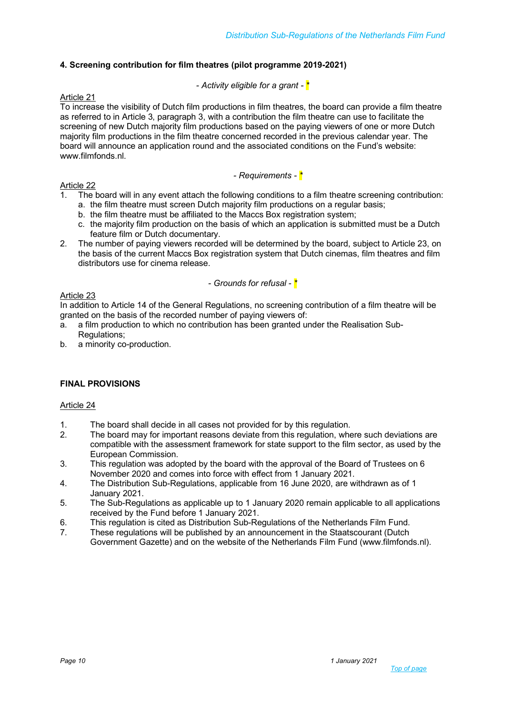# **4. Screening contribution for film theatres (pilot programme 2019-2021)**

# *- Activity eligible for a grant - \**

#### Article 21

To increase the visibility of Dutch film productions in film theatres, the board can provide a film theatre as referred to in Article 3, paragraph 3, with a contribution the film theatre can use to facilitate the screening of new Dutch majority film productions based on the paying viewers of one or more Dutch majority film productions in the film theatre concerned recorded in the previous calendar year. The board will announce an application round and the associated conditions on the Fund's website: www.filmfonds.nl.

*- Requirements - \**

#### Article 22

- 1. The board will in any event attach the following conditions to a film theatre screening contribution: a. the film theatre must screen Dutch majority film productions on a regular basis;
	- b. the film theatre must be affiliated to the Maccs Box registration system;
	- c. the majority film production on the basis of which an application is submitted must be a Dutch feature film or Dutch documentary.
- 2. The number of paying viewers recorded will be determined by the board, subject to Article 23, on the basis of the current Maccs Box registration system that Dutch cinemas, film theatres and film distributors use for cinema release.

#### *- Grounds for refusal - \**

#### Article 23

In addition to Article 14 of the General Regulations, no screening contribution of a film theatre will be granted on the basis of the recorded number of paying viewers of:

- a. a film production to which no contribution has been granted under the Realisation Sub-Regulations;
- b. a minority co-production.

# **FINAL PROVISIONS**

# Article 24

- 1. The board shall decide in all cases not provided for by this regulation.
- 2. The board may for important reasons deviate from this regulation, where such deviations are compatible with the assessment framework for state support to the film sector, as used by the European Commission.
- 3. This regulation was adopted by the board with the approval of the Board of Trustees on 6 November 2020 and comes into force with effect from 1 January 2021.
- 4. The Distribution Sub-Regulations, applicable from 16 June 2020, are withdrawn as of 1 January 2021.
- 5. The Sub-Regulations as applicable up to 1 January 2020 remain applicable to all applications received by the Fund before 1 January 2021.
- 6. This regulation is cited as Distribution Sub-Regulations of the Netherlands Film Fund.
- 7. These regulations will be published by an announcement in the Staatscourant (Dutch Government Gazette) and on the website of the Netherlands Film Fund (www.filmfonds.nl).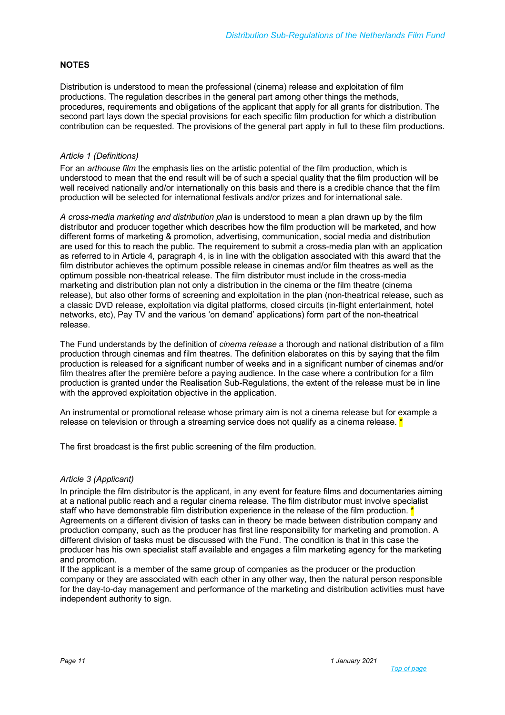#### **NOTES**

Distribution is understood to mean the professional (cinema) release and exploitation of film productions. The regulation describes in the general part among other things the methods, procedures, requirements and obligations of the applicant that apply for all grants for distribution. The second part lays down the special provisions for each specific film production for which a distribution contribution can be requested. The provisions of the general part apply in full to these film productions.

#### *Article 1 (Definitions)*

For an *arthouse film* the emphasis lies on the artistic potential of the film production, which is understood to mean that the end result will be of such a special quality that the film production will be well received nationally and/or internationally on this basis and there is a credible chance that the film production will be selected for international festivals and/or prizes and for international sale.

*A cross-media marketing and distribution plan* is understood to mean a plan drawn up by the film distributor and producer together which describes how the film production will be marketed, and how different forms of marketing & promotion, advertising, communication, social media and distribution are used for this to reach the public. The requirement to submit a cross-media plan with an application as referred to in Article 4, paragraph 4, is in line with the obligation associated with this award that the film distributor achieves the optimum possible release in cinemas and/or film theatres as well as the optimum possible non-theatrical release. The film distributor must include in the cross-media marketing and distribution plan not only a distribution in the cinema or the film theatre (cinema release), but also other forms of screening and exploitation in the plan (non-theatrical release, such as a classic DVD release, exploitation via digital platforms, closed circuits (in-flight entertainment, hotel networks, etc), Pay TV and the various 'on demand' applications) form part of the non-theatrical release.

The Fund understands by the definition of *cinema release* a thorough and national distribution of a film production through cinemas and film theatres. The definition elaborates on this by saying that the film production is released for a significant number of weeks and in a significant number of cinemas and/or film theatres after the première before a paying audience. In the case where a contribution for a film production is granted under the Realisation Sub-Regulations, the extent of the release must be in line with the approved exploitation objective in the application.

An instrumental or promotional release whose primary aim is not a cinema release but for example a release on television or through a streaming service does not qualify as a cinema release.  $*$ 

The first broadcast is the first public screening of the film production.

#### *Article 3 (Applicant)*

In principle the film distributor is the applicant, in any event for feature films and documentaries aiming at a national public reach and a regular cinema release. The film distributor must involve specialist staff who have demonstrable film distribution experience in the release of the film production.  $*$ Agreements on a different division of tasks can in theory be made between distribution company and production company, such as the producer has first line responsibility for marketing and promotion. A different division of tasks must be discussed with the Fund. The condition is that in this case the producer has his own specialist staff available and engages a film marketing agency for the marketing and promotion.

If the applicant is a member of the same group of companies as the producer or the production company or they are associated with each other in any other way, then the natural person responsible for the day-to-day management and performance of the marketing and distribution activities must have independent authority to sign.